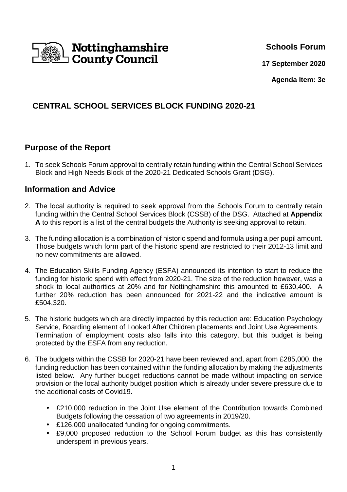

**Schools Forum**

**17 September 2020**

**Agenda Item: 3e**

# **CENTRAL SCHOOL SERVICES BLOCK FUNDING 2020-21**

# **Purpose of the Report**

1. To seek Schools Forum approval to centrally retain funding within the Central School Services Block and High Needs Block of the 2020-21 Dedicated Schools Grant (DSG).

## **Information and Advice**

- 2. The local authority is required to seek approval from the Schools Forum to centrally retain funding within the Central School Services Block (CSSB) of the DSG. Attached at **Appendix A** to this report is a list of the central budgets the Authority is seeking approval to retain.
- 3. The funding allocation is a combination of historic spend and formula using a per pupil amount. Those budgets which form part of the historic spend are restricted to their 2012-13 limit and no new commitments are allowed.
- 4. The Education Skills Funding Agency (ESFA) announced its intention to start to reduce the funding for historic spend with effect from 2020-21. The size of the reduction however, was a shock to local authorities at 20% and for Nottinghamshire this amounted to £630,400. A further 20% reduction has been announced for 2021-22 and the indicative amount is £504,320.
- 5. The historic budgets which are directly impacted by this reduction are: Education Psychology Service, Boarding element of Looked After Children placements and Joint Use Agreements. Termination of employment costs also falls into this category, but this budget is being protected by the ESFA from any reduction.
- 6. The budgets within the CSSB for 2020-21 have been reviewed and, apart from £285,000, the funding reduction has been contained within the funding allocation by making the adjustments listed below. Any further budget reductions cannot be made without impacting on service provision or the local authority budget position which is already under severe pressure due to the additional costs of Covid19.
	- £210,000 reduction in the Joint Use element of the Contribution towards Combined Budgets following the cessation of two agreements in 2019/20.
	- £126,000 unallocated funding for ongoing commitments.
	- £9,000 proposed reduction to the School Forum budget as this has consistently underspent in previous years.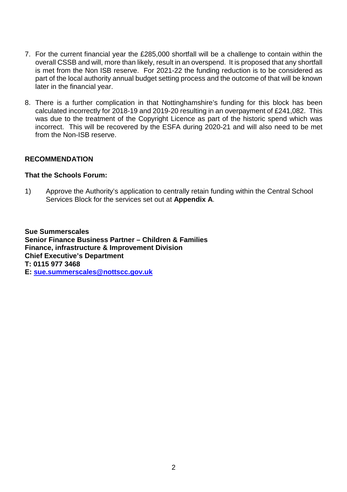- 7. For the current financial year the £285,000 shortfall will be a challenge to contain within the overall CSSB and will, more than likely, result in an overspend. It is proposed that any shortfall is met from the Non ISB reserve. For 2021-22 the funding reduction is to be considered as part of the local authority annual budget setting process and the outcome of that will be known later in the financial year.
- 8. There is a further complication in that Nottinghamshire's funding for this block has been calculated incorrectly for 2018-19 and 2019-20 resulting in an overpayment of £241,082. This was due to the treatment of the Copyright Licence as part of the historic spend which was incorrect. This will be recovered by the ESFA during 2020-21 and will also need to be met from the Non-ISB reserve.

#### **RECOMMENDATION**

#### **That the Schools Forum:**

1) Approve the Authority's application to centrally retain funding within the Central School Services Block for the services set out at **Appendix A**.

**Sue Summerscales Senior Finance Business Partner – Children & Families Finance, infrastructure & Improvement Division Chief Executive's Department T: 0115 977 3468 E: sue.summerscales@nottscc.gov.uk**